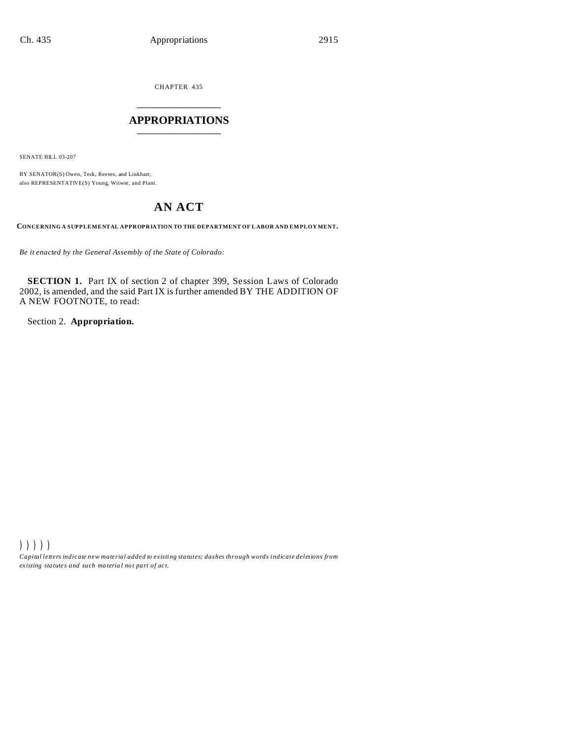CHAPTER 435 \_\_\_\_\_\_\_\_\_\_\_\_\_\_\_

# **APPROPRIATIONS** \_\_\_\_\_\_\_\_\_\_\_\_\_\_\_

SENATE BILL 03-207

BY SENATOR(S) Owen, Teck, Reeves, and Linkhart; also REPRESENTATIVE(S) Young, Witwer, and Plant.

# **AN ACT**

**CONCERNING A SUPPLEMENTAL APPROPRIATION TO THE DEPARTMENT OF L ABOR AND EM PLOY MENT.**

*Be it enacted by the General Assembly of the State of Colorado:*

**SECTION 1.** Part IX of section 2 of chapter 399, Session Laws of Colorado 2002, is amended, and the said Part IX is further amended BY THE ADDITION OF A NEW FOOTNOTE, to read:

Section 2. **Appropriation.**

))))) *Capital letters indicate new material added to existing statutes; dashes through words indicate deletions from ex isting statute s and such ma teria l no t pa rt of ac t.*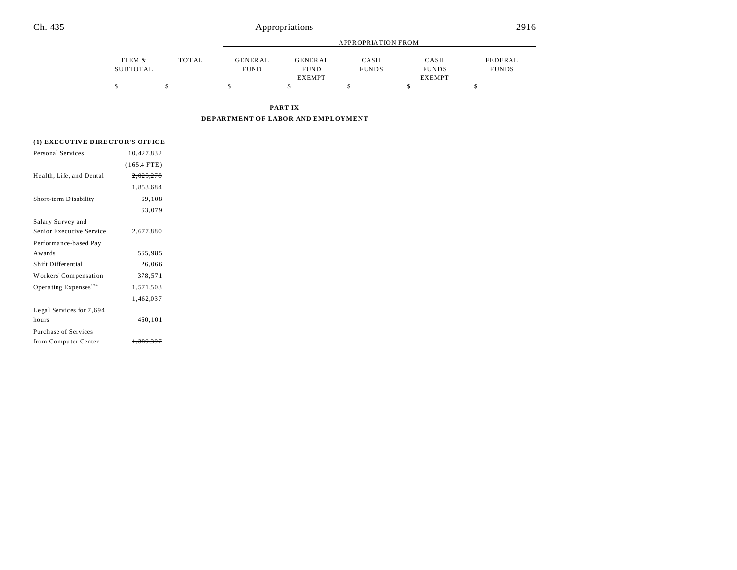| Ch. 435 |                    |       |                        | Appropriations                                 |                           |                                       | 2916                    |
|---------|--------------------|-------|------------------------|------------------------------------------------|---------------------------|---------------------------------------|-------------------------|
|         |                    |       |                        |                                                | <b>APPROPRIATION FROM</b> |                                       |                         |
|         | ITEM &<br>SUBTOTAL | TOTAL | GENERAL<br><b>FUND</b> | <b>GENERAL</b><br><b>FUND</b><br><b>EXEMPT</b> | CASH<br><b>FUNDS</b>      | CASH<br><b>FUNDS</b><br><b>EXEMPT</b> | FEDERAL<br><b>FUNDS</b> |
|         |                    |       |                        |                                                |                           |                                       |                         |

**PART IX**

**DEPARTMENT OF LABOR AND EMPLOYMENT**

# **(1) EXECUTIVE DIRECTOR'S OFFICE**

| 10,427,832           |  |
|----------------------|--|
| $(165.4$ FTE)        |  |
| 2,025,278            |  |
| 1,853,684            |  |
| 69,108               |  |
| 63,079               |  |
|                      |  |
| 2.677.880            |  |
|                      |  |
| 565,985              |  |
| 26,066               |  |
| 378,571              |  |
| <del>1,571,503</del> |  |
| 1,462,037            |  |
|                      |  |
| 460,101              |  |
|                      |  |
| <del>1.389.39</del>  |  |
|                      |  |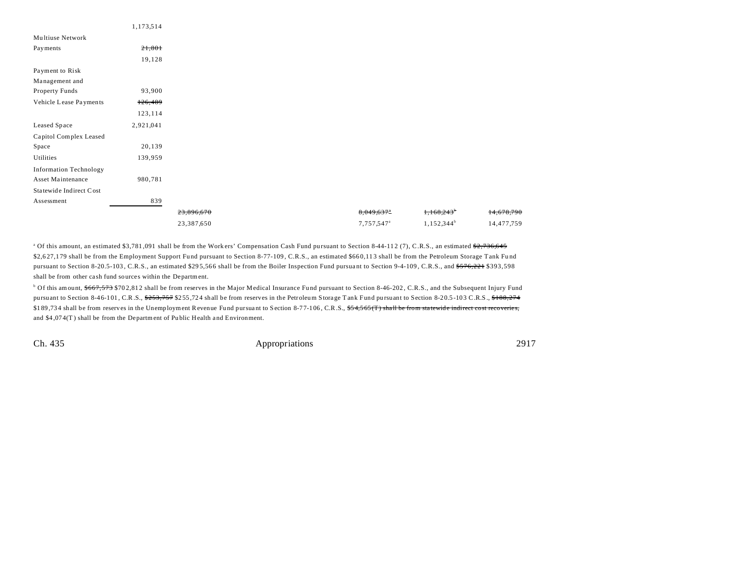| 21,801<br>19,128<br>93,900<br>126,489<br>123,114<br>2,921,041<br>20,139<br>139,959<br>980,781<br>839<br>1,168,243<br>23,896,670<br>8,049,637 <sup>a</sup><br>1,152,344 <sup>b</sup><br>23,387,650<br>7,757,547 <sup>a</sup> |                               | 1,173,514 |  |  |            |
|-----------------------------------------------------------------------------------------------------------------------------------------------------------------------------------------------------------------------------|-------------------------------|-----------|--|--|------------|
|                                                                                                                                                                                                                             | Multiuse Network              |           |  |  |            |
|                                                                                                                                                                                                                             | Payments                      |           |  |  |            |
|                                                                                                                                                                                                                             |                               |           |  |  |            |
|                                                                                                                                                                                                                             | Payment to Risk               |           |  |  |            |
|                                                                                                                                                                                                                             | Management and                |           |  |  |            |
|                                                                                                                                                                                                                             | Property Funds                |           |  |  |            |
|                                                                                                                                                                                                                             | Vehicle Lease Payments        |           |  |  |            |
|                                                                                                                                                                                                                             |                               |           |  |  |            |
|                                                                                                                                                                                                                             | Leased Space                  |           |  |  |            |
|                                                                                                                                                                                                                             | Capitol Complex Leased        |           |  |  |            |
|                                                                                                                                                                                                                             | Space                         |           |  |  |            |
|                                                                                                                                                                                                                             | Utilities                     |           |  |  |            |
|                                                                                                                                                                                                                             | <b>Information Technology</b> |           |  |  |            |
|                                                                                                                                                                                                                             | Asset Maintenance             |           |  |  |            |
|                                                                                                                                                                                                                             | Statewide Indirect Cost       |           |  |  |            |
|                                                                                                                                                                                                                             | Assessment                    |           |  |  |            |
|                                                                                                                                                                                                                             |                               |           |  |  | 14,678,790 |
|                                                                                                                                                                                                                             |                               |           |  |  | 14,477,759 |

<sup>a</sup> Of this amount, an estimated \$3,781,091 shall be from the Workers' Compensation Cash Fund pursuant to Section 8-44-112 (7), C.R.S., an estimated <del>\$2,736,645</del> \$2,627,179 shall be from the Employment Support Fund pursuant to Section 8-77-109, C.R.S., an estimated \$660,113 shall be from the Petroleum Storage Tank Fund pursuant to Section 8-20.5-103, C.R.S., an estimated \$295,566 shall be from the Boiler Inspection Fund pursuant to Section 9-4-109, C.R.S., and <del>\$576,221</del> \$393,598 shall be from other ca sh fund sources within the Department.

<sup>b</sup> Of this amount, \$667,573 \$702,812 shall be from reserves in the Major Medical Insurance Fund pursuant to Section 8-46-202, C.R.S., and the Subsequent Injury Fund pursuant to Section 8-46-101, C.R.S.,  $\frac{6253,757}{255,724}$  shall be from reserves in the Petroleum Storage Tank Fund pursuant to Section 8-20.5-103 C.R.S.,  $\frac{6188,274}{274}$ \$189,734 shall be from reserves in the Unemployment Revenue Fund pursuant to Section 8-77-106, C.R.S., \$54,565 (T) shall be from statewide indirect cost recoveries, and \$4 ,07 4(T ) shall be from the Department of Pu blic Health a nd Environment.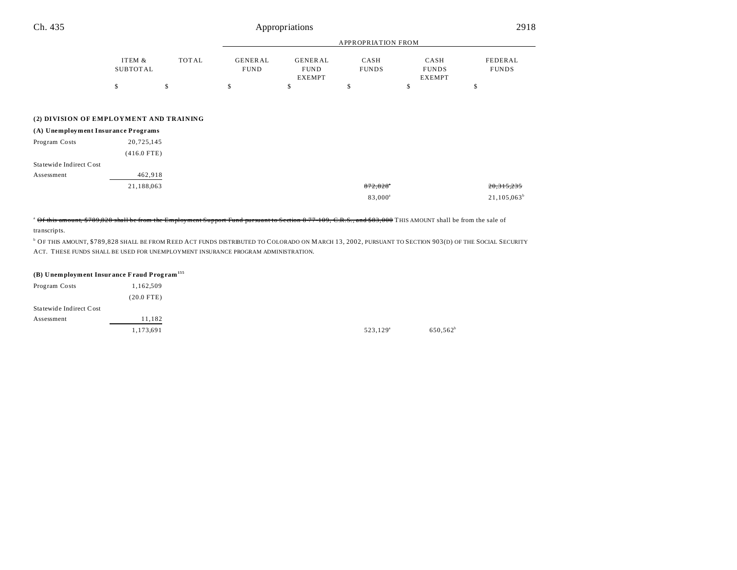| Ch. 435                 |                                         |       |                               | Appropriations                                 |                           |                                       | 2918                    |
|-------------------------|-----------------------------------------|-------|-------------------------------|------------------------------------------------|---------------------------|---------------------------------------|-------------------------|
|                         |                                         |       |                               |                                                | <b>APPROPRIATION FROM</b> |                                       |                         |
|                         | ITEM &<br><b>SUBTOTAL</b>               | TOTAL | <b>GENERAL</b><br><b>FUND</b> | <b>GENERAL</b><br><b>FUND</b><br><b>EXEMPT</b> | CASH<br><b>FUNDS</b>      | CASH<br><b>FUNDS</b><br><b>EXEMPT</b> | FEDERAL<br><b>FUNDS</b> |
|                         | \$                                      | \$    | \$                            | \$                                             | \$                        | \$                                    | \$                      |
|                         | (2) DIVISION OF EMPLOYMENT AND TRAINING |       |                               |                                                |                           |                                       |                         |
|                         | (A) Unemployment Insurance Programs     |       |                               |                                                |                           |                                       |                         |
| Program Costs           | 20,725,145                              |       |                               |                                                |                           |                                       |                         |
|                         | $(416.0$ FTE)                           |       |                               |                                                |                           |                                       |                         |
| Statewide Indirect Cost |                                         |       |                               |                                                |                           |                                       |                         |
| Assessment              | 462,918                                 |       |                               |                                                |                           |                                       |                         |
|                         | 21.10000                                |       |                               |                                                | 0.72.020                  |                                       | 20.215.225              |

21,188,063 872,828<sup>\*</sup> 20,315,235 83,000<sup>a</sup>  $21,105,063^b$ 

## <sup>a</sup> Of this amount, \$789,828 shall be from the Employment Support Fund pursuant to Section 8-77-109, C.R.S., and \$83,000 THIS AMOUNT shall be from the sale of

transcripts.

b OF THIS AMOUNT, \$789,828 SHALL BE FROM REED ACT FUNDS DISTRIBUTED TO COLORADO ON MARCH 13, 2002, PURSUANT TO SECTION 903(D) OF THE SOCIAL SECURITY ACT. THESE FUNDS SHALL BE USED FOR UNEMPLOYMENT INSURANCE PROGRAM ADMINISTRATION.

## **(B) Unemployment Insur ance Fraud Prog ram<sup>155</sup>**

| Program Costs           | 1,162,509    |                      |
|-------------------------|--------------|----------------------|
|                         | $(20.0$ FTE) |                      |
| Statewide Indirect Cost |              |                      |
| Assessment              | 11,182       |                      |
|                         | 1,173,691    | 523,129 <sup>a</sup> |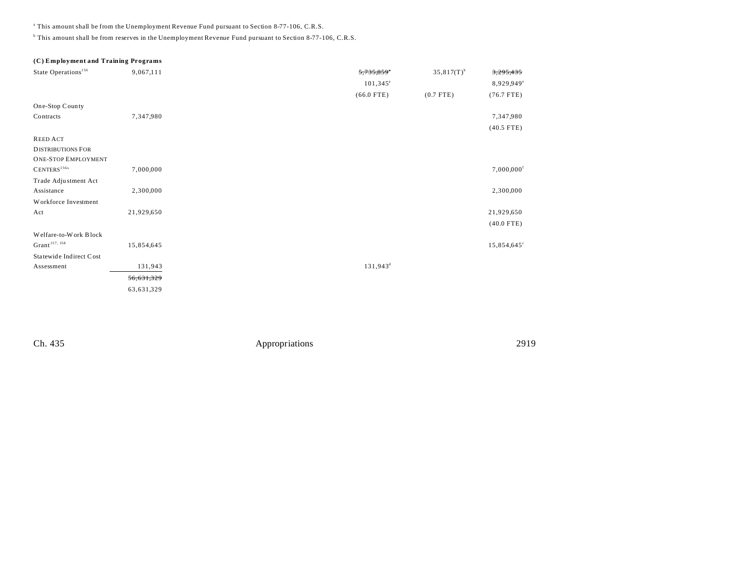a This amount shall be from the Unemployment Revenue Fund pursuant to Section 8-77-106, C.R.S.

<sup>b</sup> This amount shall be from reserves in the Unemployment Revenue Fund pursuant to Section 8-77-106, C.R.S.

# **(C) Employment and Training Programs**

| State Operations <sup>156</sup> | 9,067,111  | 5,735,859*        | $35,817(T)$ <sup>b</sup> | 3,295,435                |
|---------------------------------|------------|-------------------|--------------------------|--------------------------|
|                                 |            | $101,345^{\circ}$ |                          | 8,929,949°               |
|                                 |            | $(66.0$ FTE)      | $(0.7$ FTE)              | $(76.7$ FTE)             |
| One-Stop County                 |            |                   |                          |                          |
| Contracts                       | 7,347,980  |                   |                          | 7,347,980                |
|                                 |            |                   |                          | $(40.5$ FTE)             |
| <b>REED ACT</b>                 |            |                   |                          |                          |
| <b>DISTRIBUTIONS FOR</b>        |            |                   |                          |                          |
| <b>ONE-STOP EMPLOYMENT</b>      |            |                   |                          |                          |
| CENTERS <sup>156A</sup>         | 7,000,000  |                   |                          | $7,000,000$ <sup>f</sup> |
| Trade Adjustment Act            |            |                   |                          |                          |
| Assistance                      | 2,300,000  |                   |                          | 2,300,000                |
| Workforce Investment            |            |                   |                          |                          |
| Act                             | 21,929,650 |                   |                          | 21,929,650               |
|                                 |            |                   |                          | $(40.0$ FTE)             |
| Welfare-to-Work Block           |            |                   |                          |                          |
| Grant <sup>157, 158</sup>       | 15,854,645 |                   |                          | $15,854,645^{\circ}$     |
| Statewide Indirect Cost         |            |                   |                          |                          |
| Assessment                      | 131,943    | $131,943^d$       |                          |                          |
|                                 | 56,631,329 |                   |                          |                          |
|                                 | 63,631,329 |                   |                          |                          |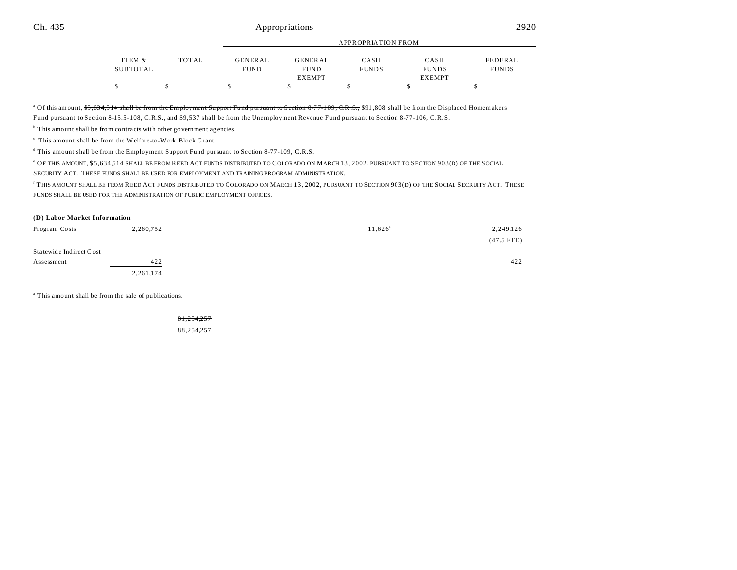# Ch. 435 **Appropriations** 2920

|          |       |                |               | APPROPRIATION FROM |               |              |  |
|----------|-------|----------------|---------------|--------------------|---------------|--------------|--|
| ITEM &   | TOTAL | <b>GENERAL</b> | GENERAL       | CASH               | CASH          | FEDERAL      |  |
| SUBTOTAL |       | <b>FUND</b>    | <b>FUND</b>   | <b>FUNDS</b>       | <b>FUNDS</b>  | <b>FUNDS</b> |  |
|          |       |                | <b>EXEMPT</b> |                    | <b>EXEMPT</b> |              |  |
|          |       |                |               |                    |               |              |  |

APPROPRIATION FROM

<sup>a</sup> Of this amount, <del>\$5,634,514 shall be from the Employment Support Fund pursuant to Section 8-77-109, C.R.S., \$91,808 shall be from the Displaced Homemakers</del> Fund pursuant to Section 8-15.5-108, C.R.S., and \$9,537 shall be from the Unemployment Revenue Fund pursuant to Section 8-77-106, C.R.S.

<sup>b</sup> This amount shall be from contracts with other government agencies.

 $\degree$  This amount shall be from the Welfare-to-Work Block Grant.

<sup>d</sup> This amount shall be from the Employment Support Fund pursuant to Section 8-77-109, C.R.S.

e OF THIS AMOUNT, \$5,634,514 SHALL BE FROM REED ACT FUNDS DISTRIBUTED TO COLORADO ON MARCH 13, 2002, PURSUANT TO SECTION 903(D) OF THE SOCIAL

SECURITY ACT. THESE FUNDS SHALL BE USED FOR EMPLOYMENT AND TRAINING PROGRAM ADMINISTRATION.

f THIS AMOUNT SHALL BE FROM REED ACT FUNDS DISTRIBUTED TO COLORADO ON MARCH 13, 2002, PURSUANT TO SECTION 903(D) OF THE SOCIAL SECRUITY ACT. THESE FUNDS SHALL BE USED FOR THE ADMINISTRATION OF PUBLIC EMPLOYMENT OFFICES.

### **(D) Labor Market Information**

| Program Costs           | 2,260,752   | $11,626^{\circ}$ | 2,249,126    |
|-------------------------|-------------|------------------|--------------|
|                         |             |                  | $(47.5$ FTE) |
| Statewide Indirect Cost |             |                  |              |
| Assessment              | 422         |                  | 422          |
|                         | 2, 261, 174 |                  |              |

<sup>a</sup> This amount shall be from the sale of publications.

81,254,257 88,254,257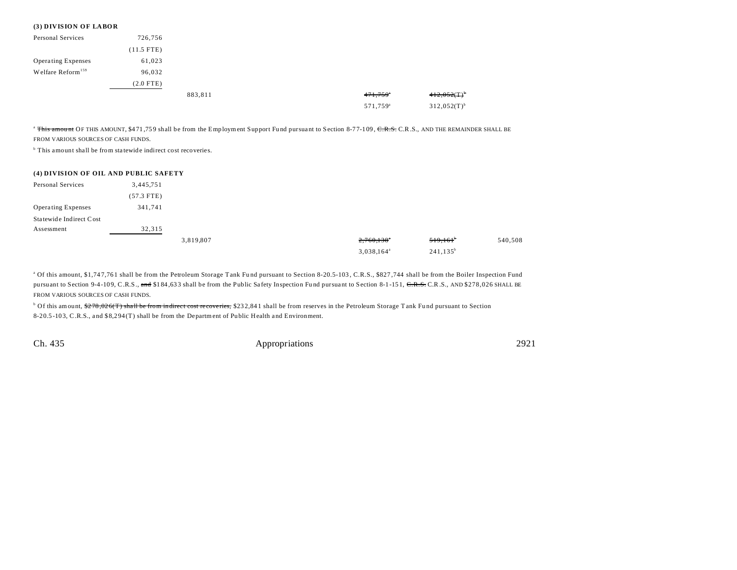### **(3) DIVISION OF LABOR**

| Personal Services             | 726,756      |         |                        |                  |
|-------------------------------|--------------|---------|------------------------|------------------|
|                               | $(11.5$ FTE) |         |                        |                  |
| Operating Expenses            | 61,023       |         |                        |                  |
| Welfare Reform <sup>159</sup> | 96,032       |         |                        |                  |
|                               | $(2.0$ FTE)  |         |                        |                  |
|                               |              | 883,811 | $471,759$ <sup>*</sup> | $412,052(T)^{6}$ |
|                               |              |         | 571,759 <sup>a</sup>   | $312,052(T)^{b}$ |

<sup>a</sup> This amount OF THIS AMOUNT, \$471,759 shall be from the Employment Support Fund pursuant to Section 8-77-109, CR.S., C.R.S., AND THE REMAINDER SHALL BE FROM VARIOUS SOURCES OF CASH FUNDS.

<sup>b</sup> This amount shall be from statewide indirect cost recoveries.

| (4) DIVISION OF OIL AND PUBLIC SAFETY |              |           |                     |              |         |
|---------------------------------------|--------------|-----------|---------------------|--------------|---------|
| Personal Services                     | 3,445,751    |           |                     |              |         |
|                                       | $(57.3$ FTE) |           |                     |              |         |
| <b>Operating Expenses</b>             | 341,741      |           |                     |              |         |
| Statewide Indirect Cost               |              |           |                     |              |         |
| Assessment                            | 32,315       |           |                     |              |         |
|                                       |              | 3,819,807 | 2,760,138"          | 519,161      | 540,508 |
|                                       |              |           | $3,038,164^{\circ}$ | $241, 135^b$ |         |

<sup>a</sup> Of this amount, \$1,747,761 shall be from the Petroleum Storage Tank Fund pursuant to Section 8-20.5-103, C.R.S., \$827,744 shall be from the Boiler Inspection Fund pursuant to Section 9-4-109, C.R.S., and \$184,633 shall be from the Public Safety Inspection Fund pursuant to Section 8-1-151, C.R.S., AND \$278,026 SHALL BE FROM VARIOUS SOURCES OF CASH FUNDS.

 $^{\rm b}$  Of this amount, <del>\$278,026(T) shall be from indirect cost recoveries,</del> \$232,841 shall be from reserves in the Petroleum Storage Tank Fund pursuant to Section 8-20.5 -103, C.R.S., a nd \$8,2 94 (T) shall be from the Department of Pu blic Health a nd Environment.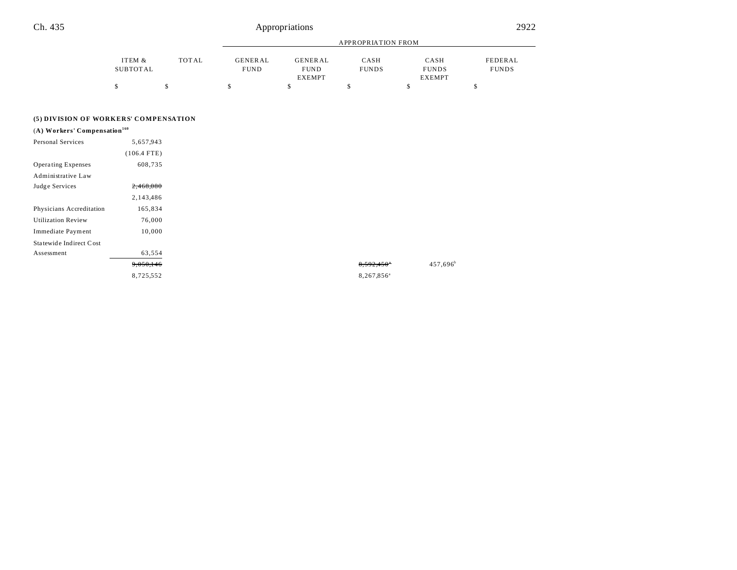| Ch. 435                                  |                           |       |                               | Appropriations                                 |                           |                                       | 2922                    |
|------------------------------------------|---------------------------|-------|-------------------------------|------------------------------------------------|---------------------------|---------------------------------------|-------------------------|
|                                          |                           |       |                               |                                                | <b>APPROPRIATION FROM</b> |                                       |                         |
|                                          | ITEM &<br><b>SUBTOTAL</b> | TOTAL | <b>GENERAL</b><br><b>FUND</b> | <b>GENERAL</b><br><b>FUND</b><br><b>EXEMPT</b> | CASH<br><b>FUNDS</b>      | CASH<br><b>FUNDS</b><br><b>EXEMPT</b> | FEDERAL<br><b>FUNDS</b> |
|                                          | \$                        | \$    | \$                            | \$                                             | \$                        | \$                                    | \$                      |
| (5) DIVISION OF WORKERS' COMPENSATION    |                           |       |                               |                                                |                           |                                       |                         |
| (A) Workers' Compensation <sup>160</sup> |                           |       |                               |                                                |                           |                                       |                         |
| Personal Services                        | 5,657,943                 |       |                               |                                                |                           |                                       |                         |
|                                          | $(106.4$ FTE)             |       |                               |                                                |                           |                                       |                         |
| <b>Operating Expenses</b>                | 608,735                   |       |                               |                                                |                           |                                       |                         |

| Administrative Law        |           |
|---------------------------|-----------|
| Judge Services            | 2,468,080 |
|                           | 2,143,486 |
| Physicians Accreditation  | 165,834   |
| <b>Utilization Review</b> | 76,000    |
| Immediate Payment         | 10,000    |
| Statewide Indirect Cost   |           |
| Assessment                | 63,554    |
|                           | 9,050,146 |
|                           | 8,725,552 |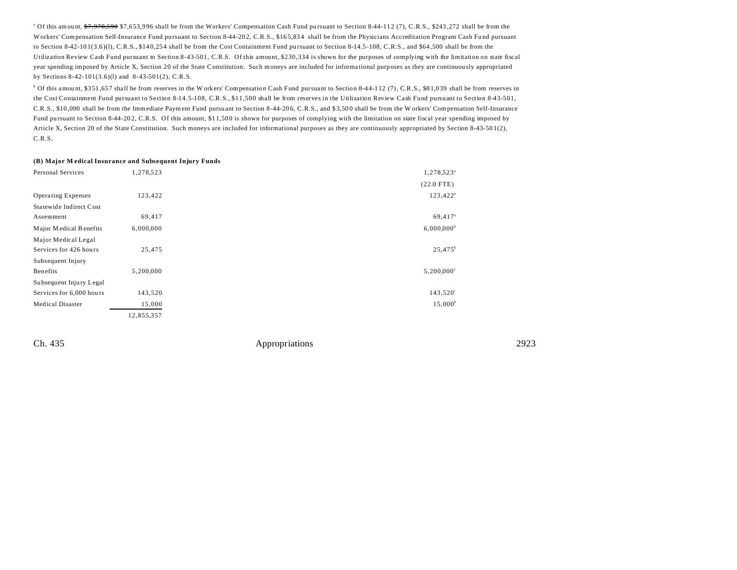<sup>a</sup> Of this amount, <del>\$7,978,590</del> \$7,653,996 shall be from the Workers' Compensation Cash Fund pursuant to Section 8-44-112 (7), C.R.S., \$243,272 shall be from the Workers' Compensation Self-Insurance Fund pursuant to Section 8-44-202, C.R.S., \$165,834 shall be from the Physicians Accreditation Program Cash Fund pursuant to Section 8-42-101(3.6)(1), C.R.S., \$140,254 shall be from the Cost Containment Fund pursuant to Section 8-14.5-108, C.R.S., and \$64,500 shall be from the Utilization Review Cash Fund pursuant to Section 8-43-501, C.R.S. Of this amount, \$230,334 is shown for the purposes of complying with the limitation on state fiscal year spending imposed by Article X, Section 20 of the State Constitution. Such moneys are included for informa tional purposes as they are continuou sly appropriated by Sections 8-42-101(3.6)(l) and 8-43-501(2), C.R.S.

<sup>b</sup> Of this amount, \$351,657 shall be from reserves in the Workers' Compensation Cash Fund pursuant to Section 8-44-112 (7), C.R.S., \$81,039 shall be from reserves in the Cost Containment Fund pursuant to Section 8-14.5-108, C.R.S., \$11,500 shall be from reserves in the Utilization Review Cash Fund pursuant to Section 8-43-501, C.R.S., \$10 ,000 shall be from the Immediate Payment Fund pursuant to Section 8-44-20 6, C.R.S., and \$ 3,50 0 shall be from the W orkers' Compensation Self-Insurance Fund pursuant to Section 8-44-202, C.R.S. Of this amount, \$11,500 is shown for purposes of complying with the limitation on state fiscal year spending imposed by Article X, Section 20 of the State Constitution. Such moneys are included for informational purposes as they are continuously appropriated by Section 8-43-501(2), C.R.S.

#### **(B) Major M edical Insurance and Subsequent Injury Funds**

| Personal Services         | 1,278,523  | 1,278,523 <sup>a</sup>   |
|---------------------------|------------|--------------------------|
|                           |            | $(22.0$ FTE)             |
| <b>Operating Expenses</b> | 123,422    | $123,422^a$              |
| Statewide Indirect Cost   |            |                          |
| Assessment                | 69,417     | 69,417 <sup>a</sup>      |
| Major Medical Benefits    | 6,000,000  | $6,000,000^{\rm b}$      |
| Major Medical Legal       |            |                          |
| Services for 426 hours    | 25,475     | $25,475^b$               |
| Subsequent Injury         |            |                          |
| Benefits                  | 5,200,000  | $5,200,000$ <sup>c</sup> |
| Subsequent Injury Legal   |            |                          |
| Services for 6,000 hours  | 143,520    | $143,520^{\circ}$        |
| <b>Medical Disaster</b>   | 15,000     | $15,000^{\circ}$         |
|                           | 12,855,357 |                          |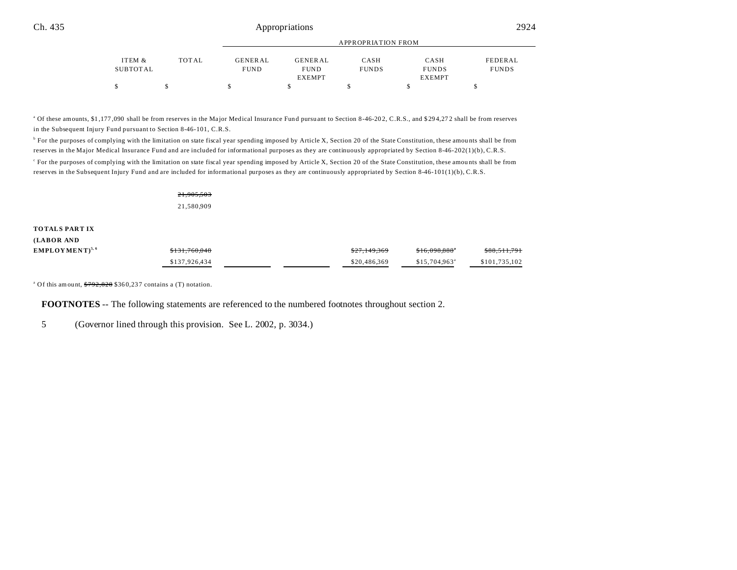|          |       | APPROPRIATION FROM |               |              |               |              |
|----------|-------|--------------------|---------------|--------------|---------------|--------------|
| ITEM &   | TOTAL | GENERAL            | GENERAL       | CASH         | CASH          | FEDERAL      |
| SUBTOTAL |       | <b>FUND</b>        | <b>FUND</b>   | <b>FUNDS</b> | <b>FUNDS</b>  | <b>FUNDS</b> |
|          |       |                    | <b>EXEMPT</b> |              | <b>EXEMPT</b> |              |
|          |       |                    |               |              |               |              |

<sup>a</sup> Of these amounts, \$1,177,090 shall be from reserves in the Major Medical Insurance Fund pursuant to Section 8-46-202, C.R.S., and \$294,272 shall be from reserves in the Subsequent Injury Fund pursuant to Section 8-46-101, C.R.S.

<sup>b</sup> For the purposes of complying with the limitation on state fiscal year spending imposed by Article X, Section 20 of the State Constitution, these amounts shall be from reserves in the Major Medical Insurance Fund and are included for informational purposes as they are continuously appropriated by Section 8-46-202(1)(b), C.R.S. c For the purposes of complying with the limitation on state fiscal year spending imposed by Article X, Section 20 of the State Constitution, these amou nts shall be from reserves in the Subsequent Injury Fund and are included for informational purposes as they are continuously appropriated by Section 8-46-101(1)(b), C.R.S.

| 21,905,503 |
|------------|
| 21,580,909 |

### **TOTALS PART IX**

| (LABOR AND         |               |                         |                            |               |
|--------------------|---------------|-------------------------|----------------------------|---------------|
| $EMPLOYMENT^{5,6}$ | \$131.760.048 | <del>\$27.149.369</del> | \$16.098.888"              | \$88,511,791  |
|                    | \$137,926,434 | \$20,486,369            | $$15.704.963$ <sup>a</sup> | \$101.735.102 |

<sup>a</sup> Of this amount,  $792,828$  \$360,237 contains a (T) notation.

**FOOTNOTES** -- The following statements are referenced to the numbered footnotes throughout section 2.

5 (Governor lined through this provision. See L. 2002, p. 3034.)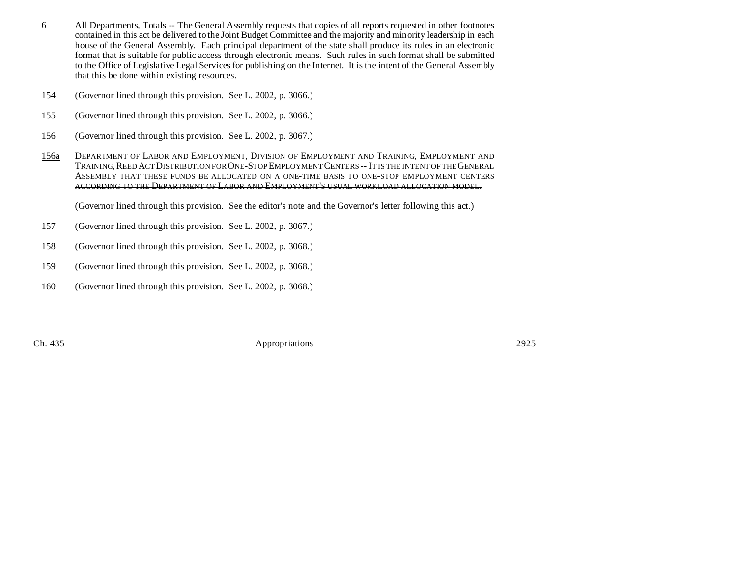- 6 All Departments, Totals -- The General Assembly requests that copies of all reports requested in other footnotes contained in this act be delivered to the Joint Budget Committee and the majority and minority leadership in each house of the General Assembly. Each principal department of the state shall produce its rules in an electronic format that is suitable for public access through electronic means. Such rules in such format shall be submitted to the Office of Legislative Legal Services for publishing on the Internet. It is the intent of the General Assembly that this be done within existing resources.
- 154 (Governor lined through this provision. See L. 2002, p. 3066.)
- 155 (Governor lined through this provision. See L. 2002, p. 3066.)
- 156 (Governor lined through this provision. See L. 2002, p. 3067.)
- 156a DEPARTMENT OF LABOR AND EMPLOYMENT, DIVISION OF EMPLOYMENT AND TRAINING, EMPLOYMENT AND TRAINING, REED ACT DISTRIBUTION FOR ONE-STOP EMPLOYMENT CENTERS -- IT IS THE INTENT OF THE GENERAL ASSEMBLY THAT THESE FUNDS BE ALLOCATED ON A ONE-TIME BASIS TO ONE-STOP EMPLOYMENT CENTERS ACCORDING TO THE DEPARTMENT OF LABOR AND EMPLOYMENT'S USUAL WORKLOAD ALLOCATION MODEL.

(Governor lined through this provision. See the editor's note and the Governor's letter following this act.)

- 157 (Governor lined through this provision. See L. 2002, p. 3067.)
- 158 (Governor lined through this provision. See L. 2002, p. 3068.)
- 159 (Governor lined through this provision. See L. 2002, p. 3068.)
- 160 (Governor lined through this provision. See L. 2002, p. 3068.)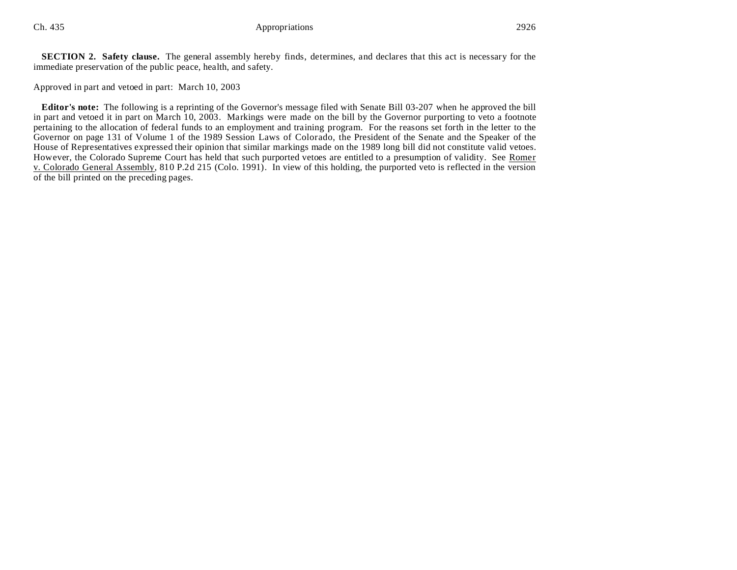**SECTION 2. Safety clause.** The general assembly hereby finds, determines, and declares that this act is necessary for the immediate preservation of the public peace, health, and safety.

Approved in part and vetoed in part: March 10, 2003

**Editor's note:** The following is a reprinting of the Governor's message filed with Senate Bill 03-207 when he approved the bill in part and vetoed it in part on March 10, 2003. Markings were made on the bill by the Governor purporting to veto a footnote pertaining to the allocation of federal funds to an employment and training program. For the reasons set forth in the letter to the Governor on page 131 of Volume 1 of the 1989 Session Laws of Colorado, the President of the Senate and the Speaker of the House of Representatives expressed their opinion that similar markings made on the 1989 long bill did not constitute valid vetoes. However, the Colorado Supreme Court has held that such purported vetoes are entitled to a presumption of validity. See Romer v. Colorado General Assembly, 810 P.2d 215 (Colo. 1991). In view of this holding, the purported veto is reflected in the version of the bill printed on the preceding pages.